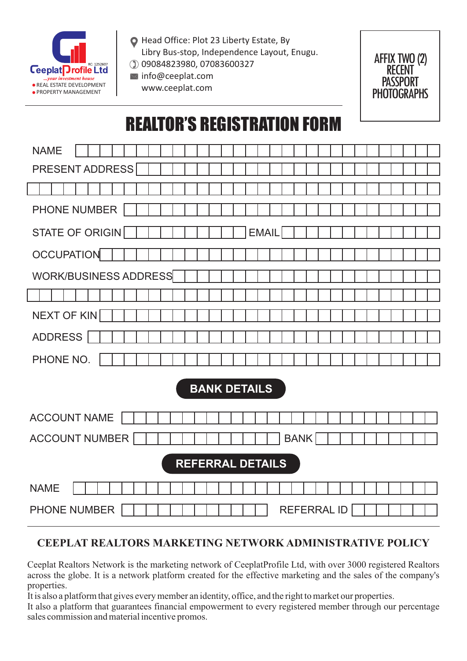

- Head Office: Plot 23 Liberty Estate, By Libry Bus-stop, Independence Layout, Enugu. 09084823980, 07083600327
- $\boxtimes$  info@ceeplat.com www.ceeplat.com



# REALTOR'S REGISTRATION FORM

| <b>NAME</b>                               |
|-------------------------------------------|
| PRESENT ADDRESS                           |
|                                           |
| PHONE NUMBER                              |
| STATE OF ORIGIN<br><b>EMAIL</b>           |
| <b>OCCUPATION</b>                         |
| <b>WORK/BUSINESS ADDRESS</b>              |
|                                           |
| <b>NEXT OF KIN</b>                        |
| <b>ADDRESS</b>                            |
| PHONE NO.                                 |
| <b>BANK DETAILS</b>                       |
| <b>ACCOUNT NAME</b>                       |
| <b>BANK</b><br><b>ACCOUNT NUMBER</b>      |
| <b>REFERRAL DETAILS</b>                   |
| <b>NAME</b>                               |
| <b>REFERRAL ID</b><br><b>PHONE NUMBER</b> |

## **CEEPLAT REALTORS MARKETING NETWORK ADMINISTRATIVE POLICY**

Ceeplat Realtors Network is the marketing network of CeeplatProfile Ltd, with over 3000 registered Realtors across the globe. It is a network platform created for the effective marketing and the sales of the company's properties.

It is also a platform that gives every member an identity, office, and the right to market our properties.

It also a platform that guarantees financial empowerment to every registered member through our percentage sales commission and material incentive promos.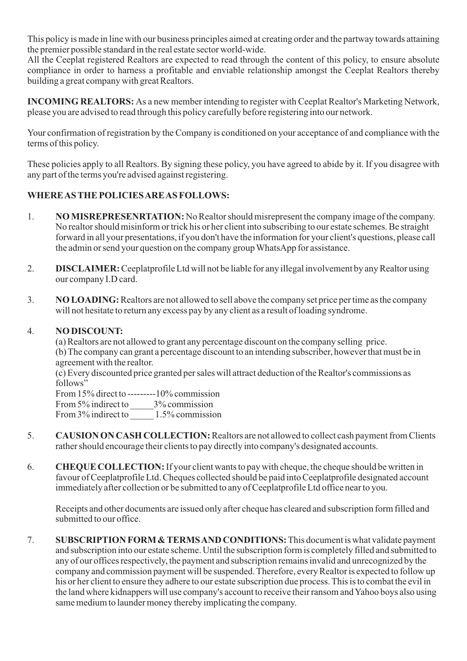This policy is made in line with our business principles aimed at creating order and the partway towards attaining the premier possible standard in the real estate sector world-wide.

All the Ceeplat registered Realtors are expected to read through the content of this policy, to ensure absolute compliance in order to harness a profitable and enviable relationship amongst the Ceeplat Realtors thereby building a great company with great Realtors.

**INCOMING REALTORS:** As a new member intending to register with Ceeplat Realtor's Marketing Network, please you are advised to read through this policy carefully before registering into our network.

Your confirmation of registration by the Company is conditioned on your acceptance of and compliance with the terms of this policy.

These policies apply to all Realtors. By signing these policy, you have agreed to abide by it. If you disagree with any part of the terms you're advised against registering.

### **WHERE AS THE POLICIES ARE AS FOLLOWS:**

- 1. **NO MISREPRESENRTATION:** No Realtor should misrepresent the company image of the company. No realtor should misinform or trick his or her client into subscribing to our estate schemes. Be straight forward in all your presentations, if you don't have the information for your client's questions, please call the admin or send your question on the company group WhatsApp for assistance.
- 2. **DISCLAIMER:**Ceeplatprofile Ltd will not be liable for any illegal involvement by any Realtor using our company I.D card.
- 3. **NO LOADING:** Realtors are not allowed to sell above the company set price per time as the company will not hesitate to return any excess pay by any client as a result of loading syndrome.

#### 4. **NO DISCOUNT:**

(a) Realtors are not allowed to grant any percentage discount on the company selling price. (b) The company can grant a percentage discount to an intending subscriber, however that must be in agreement with the realtor.

(c) Every discounted price granted per sales will attract deduction of the Realtor's commissions as follows"

From 15% direct to ---------10% commission From 5% indirect to \_\_\_\_\_3% commission From 3% indirect to 1.5% commission

- 5. **CAUSION ON CASH COLLECTION:**Realtors are not allowed to collect cash payment from Clients rather should encourage their clients to pay directly into company's designated accounts.
- 6. **CHEQUE COLLECTION:**If your client wants to pay with cheque, the cheque should be written in favour of Ceeplatprofile Ltd. Cheques collected should be paid into Ceeplatprofile designated account immediately after collection or be submitted to any of Ceeplatprofile Ltd office near to you.

Receipts and other documents are issued only after cheque has cleared and subscription form filled and submitted to our office.

7. **SUBSCRIPTION FORM & TERMS AND CONDITIONS:**This document is what validate payment and subscription into our estate scheme. Until the subscription form is completely filled and submitted to any of our offices respectively, the payment and subscription remains invalid and unrecognized by the company and commission payment will be suspended. Therefore, every Realtor is expected to follow up his or her client to ensure they adhere to our estate subscription due process. This is to combat the evil in the land where kidnappers will use company's account to receive their ransom and Yahoo boys also using same medium to launder money thereby implicating the company.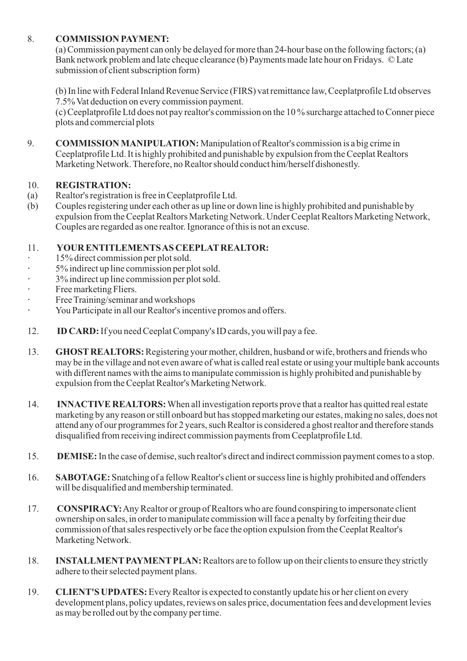#### 8. **COMMISSION PAYMENT:**

(a) Commission payment can only be delayed for more than 24-hour base on the following factors; (a) Bank network problem and late cheque clearance (b) Payments made late hour on Fridays. © Late submission of client subscription form)

(b) In line with Federal Inland Revenue Service (FIRS) vat remittance law, Ceeplatprofile Ltd observes 7.5% Vat deduction on every commission payment.

(c) Ceeplatprofile Ltd does not pay realtor's commission on the 10 % surcharge attached to Conner piece plots and commercial plots

9. **COMMISSION MANIPULATION:** Manipulation of Realtor's commission is a big crime in Ceeplatprofile Ltd. It is highly prohibited and punishable by expulsion from the Ceeplat Realtors Marketing Network. Therefore, no Realtor should conduct him/herself dishonestly.

#### 10. **REGISTRATION:**

- (a) Realtor's registration is free in Ceeplatprofile Ltd.
- (b) Couples registering under each other as up line or down line is highly prohibited and punishable by expulsion from the Ceeplat Realtors Marketing Network. Under Ceeplat Realtors Marketing Network, Couples are regarded as one realtor. Ignorance of this is not an excuse.

#### 11. **YOUR ENTITLEMENTS AS CEEPLATREALTOR:**

- **·** 15% direct commission per plot sold.
- **·** 5% indirect up line commission per plot sold.
- **·** 3% indirect up line commission per plot sold.
- **·** Free marketing Fliers.
- **·** Free Training/seminar and workshops
- **·** You Participate in all our Realtor's incentive promos and offers.
- 12. **ID CARD:** If you need Ceeplat Company's ID cards, you will pay a fee.
- 13. **GHOSTREALTORS:**Registering your mother, children, husband or wife, brothers and friends who may be in the village and not even aware of what is called real estate or using your multiple bank accounts with different names with the aims to manipulate commission is highly prohibited and punishable by expulsion from the Ceeplat Realtor's Marketing Network.
- 14. **INNACTIVE REALTORS:**When all investigation reports prove that a realtor has quitted real estate marketing by any reason or still onboard but has stopped marketing our estates, making no sales, does not attend any of our programmes for 2 years, such Realtor is considered a ghost realtor and therefore stands disqualified from receiving indirect commission payments from Ceeplatprofile Ltd.
- 15. **DEMISE:**In the case of demise, such realtor's direct and indirect commission payment comes to a stop.
- 16. **SABOTAGE:** Snatching of a fellow Realtor's client or success line is highly prohibited and offenders will be disqualified and membership terminated.
- 17. **CONSPIRACY:**Any Realtor or group of Realtors who are found conspiring to impersonate client ownership on sales, in order to manipulate commission will face a penalty by forfeiting their due commission of that sales respectively or be face the option expulsion from the Ceeplat Realtor's Marketing Network.
- 18. **INSTALLMENT PAYMENT PLAN:** Realtors are to follow up on their clients to ensure they strictly adhere to their selected payment plans.
- 19. **CLIENT'S UPDATES:**Every Realtor is expected to constantly update his or her client on every development plans, policy updates, reviews on sales price, documentation fees and development levies as may be rolled out by the company per time.